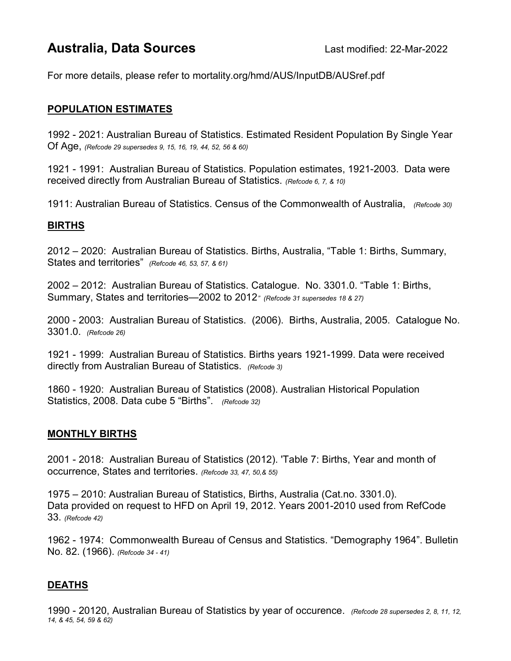# Australia, Data Sources<br>
Last modified: 22-Mar-2022

For more details, please refer to mortality.org/hmd/AUS/InputDB/AUSref.pdf

## POPULATION ESTIMATES

1992 - 2021: Australian Bureau of Statistics. Estimated Resident Population By Single Year Of Age, (Refcode 29 supersedes 9, 15, 16, 19, 44, 52, 56 & 60)

1921 - 1991: Australian Bureau of Statistics. Population estimates, 1921-2003. Data were received directly from Australian Bureau of Statistics. (Refcode 6, 7, & 10)

1911: Australian Bureau of Statistics. Census of the Commonwealth of Australia, (Refcode 30)

### BIRTHS

2012 – 2020: Australian Bureau of Statistics. Births, Australia, "Table 1: Births, Summary, States and territories" (Refcode 46, 53, 57, & 61)

2002 – 2012: Australian Bureau of Statistics. Catalogue. No. 3301.0. "Table 1: Births, Summary, States and territories—2002 to 2012<sup>"</sup> (Refcode 31 supersedes 18 & 27)

2000 - 2003: Australian Bureau of Statistics. (2006). Births, Australia, 2005. Catalogue No. 3301.0. (Refcode 26)

1921 - 1999: Australian Bureau of Statistics. Births years 1921-1999. Data were received directly from Australian Bureau of Statistics. (Refcode 3)

1860 - 1920: Australian Bureau of Statistics (2008). Australian Historical Population Statistics, 2008. Data cube 5 "Births". (Refcode 32)

#### MONTHLY BIRTHS

2001 - 2018: Australian Bureau of Statistics (2012). 'Table 7: Births, Year and month of occurrence, States and territories. (Refcode 33, 47, 50,& 55)

1975 – 2010: Australian Bureau of Statistics, Births, Australia (Cat.no. 3301.0). Data provided on request to HFD on April 19, 2012. Years 2001-2010 used from RefCode 33. (Refcode 42)

1962 - 1974: Commonwealth Bureau of Census and Statistics. "Demography 1964". Bulletin No. 82. (1966). (Refcode 34 - 41)

## DEATHS

1990 - 20120, Australian Bureau of Statistics by year of occurence. (Refcode 28 supersedes 2, 8, 11, 12, 14, & 45, 54, 59 & 62)